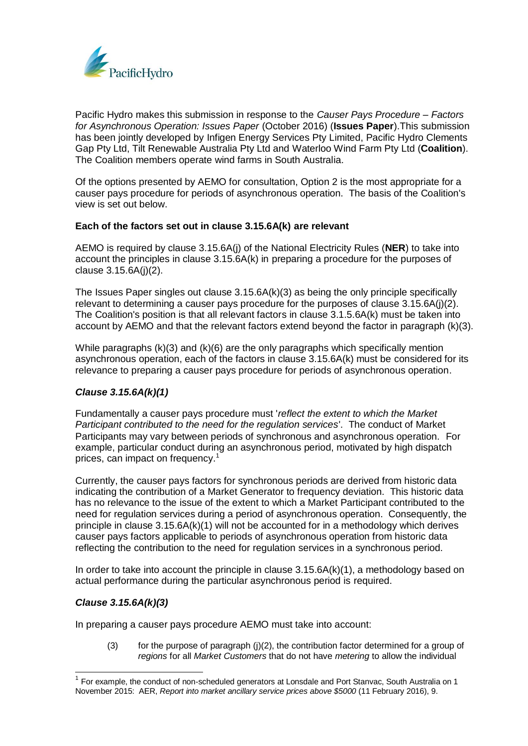

Pacific Hydro makes this submission in response to the *Causer Pays Procedure – Factors for Asynchronous Operation: Issues Paper* (October 2016) (**Issues Paper**).This submission has been jointly developed by Infigen Energy Services Pty Limited, Pacific Hydro Clements Gap Pty Ltd, Tilt Renewable Australia Pty Ltd and Waterloo Wind Farm Pty Ltd (**Coalition**). The Coalition members operate wind farms in South Australia.

Of the options presented by AEMO for consultation, Option 2 is the most appropriate for a causer pays procedure for periods of asynchronous operation. The basis of the Coalition's view is set out below.

## **Each of the factors set out in clause 3.15.6A(k) are relevant**

AEMO is required by clause 3.15.6A(j) of the National Electricity Rules (**NER**) to take into account the principles in clause 3.15.6A(k) in preparing a procedure for the purposes of clause 3.15.6A(j)(2).

The Issues Paper singles out clause 3.15.6A(k)(3) as being the only principle specifically relevant to determining a causer pays procedure for the purposes of clause 3.15.6A(j)(2). The Coalition's position is that all relevant factors in clause 3.1.5.6A(k) must be taken into account by AEMO and that the relevant factors extend beyond the factor in paragraph (k)(3).

While paragraphs (k)(3) and (k)(6) are the only paragraphs which specifically mention asynchronous operation, each of the factors in clause 3.15.6A(k) must be considered for its relevance to preparing a causer pays procedure for periods of asynchronous operation.

### *Clause 3.15.6A(k)(1)*

Fundamentally a causer pays procedure must '*reflect the extent to which the Market Participant contributed to the need for the regulation services*'. The conduct of Market Participants may vary between periods of synchronous and asynchronous operation. For example, particular conduct during an asynchronous period, motivated by high dispatch prices, can impact on frequency.<sup>1</sup>

Currently, the causer pays factors for synchronous periods are derived from historic data indicating the contribution of a Market Generator to frequency deviation. This historic data has no relevance to the issue of the extent to which a Market Participant contributed to the need for regulation services during a period of asynchronous operation. Consequently, the principle in clause 3.15.6A(k)(1) will not be accounted for in a methodology which derives causer pays factors applicable to periods of asynchronous operation from historic data reflecting the contribution to the need for regulation services in a synchronous period.

In order to take into account the principle in clause  $3.15.6A(k)(1)$ , a methodology based on actual performance during the particular asynchronous period is required.

### *Clause 3.15.6A(k)(3)*

In preparing a causer pays procedure AEMO must take into account:

(3) for the purpose of paragraph  $(i)(2)$ , the contribution factor determined for a group of *regions* for all *Market Customers* that do not have *metering* to allow the individual

<sup>1</sup> For example, the conduct of non-scheduled generators at Lonsdale and Port Stanvac, South Australia on 1 November 2015: AER, *Report into market ancillary service prices above \$5000* (11 February 2016), 9.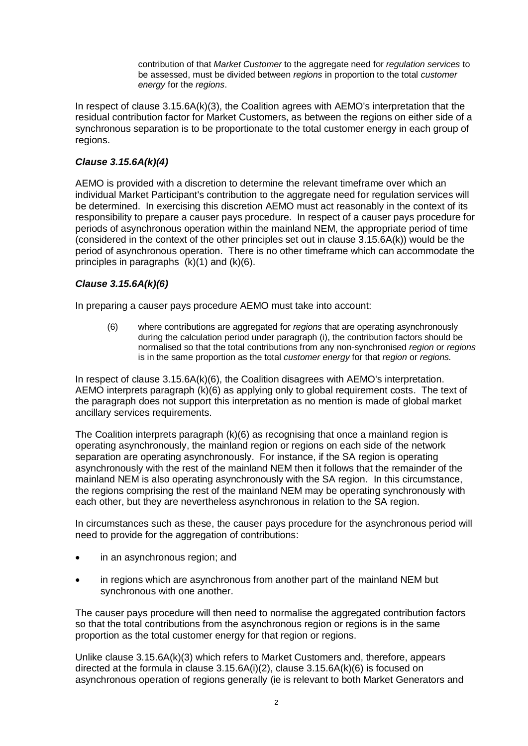contribution of that *Market Customer* to the aggregate need for *regulation services* to be assessed, must be divided between *regions* in proportion to the total *customer energy* for the *regions*.

In respect of clause 3.15.6A(k)(3), the Coalition agrees with AEMO's interpretation that the residual contribution factor for Market Customers, as between the regions on either side of a synchronous separation is to be proportionate to the total customer energy in each group of regions.

### *Clause 3.15.6A(k)(4)*

AEMO is provided with a discretion to determine the relevant timeframe over which an individual Market Participant's contribution to the aggregate need for regulation services will be determined. In exercising this discretion AEMO must act reasonably in the context of its responsibility to prepare a causer pays procedure. In respect of a causer pays procedure for periods of asynchronous operation within the mainland NEM, the appropriate period of time (considered in the context of the other principles set out in clause 3.15.6A(k)) would be the period of asynchronous operation. There is no other timeframe which can accommodate the principles in paragraphs  $(k)(1)$  and  $(k)(6)$ .

## *Clause 3.15.6A(k)(6)*

In preparing a causer pays procedure AEMO must take into account:

(6) where contributions are aggregated for *regions* that are operating asynchronously during the calculation period under paragraph (i), the contribution factors should be normalised so that the total contributions from any non-synchronised *region* or *regions*  is in the same proportion as the total *customer energy* for that *region* or *regions.*

In respect of clause 3.15.6A(k)(6), the Coalition disagrees with AEMO's interpretation. AEMO interprets paragraph (k)(6) as applying only to global requirement costs. The text of the paragraph does not support this interpretation as no mention is made of global market ancillary services requirements.

The Coalition interprets paragraph (k)(6) as recognising that once a mainland region is operating asynchronously, the mainland region or regions on each side of the network separation are operating asynchronously. For instance, if the SA region is operating asynchronously with the rest of the mainland NEM then it follows that the remainder of the mainland NEM is also operating asynchronously with the SA region. In this circumstance, the regions comprising the rest of the mainland NEM may be operating synchronously with each other, but they are nevertheless asynchronous in relation to the SA region.

In circumstances such as these, the causer pays procedure for the asynchronous period will need to provide for the aggregation of contributions:

- in an asynchronous region; and
- in regions which are asynchronous from another part of the mainland NEM but synchronous with one another.

The causer pays procedure will then need to normalise the aggregated contribution factors so that the total contributions from the asynchronous region or regions is in the same proportion as the total customer energy for that region or regions.

Unlike clause 3.15.6A(k)(3) which refers to Market Customers and, therefore, appears directed at the formula in clause 3.15.6A(i)(2), clause 3.15.6A(k)(6) is focused on asynchronous operation of regions generally (ie is relevant to both Market Generators and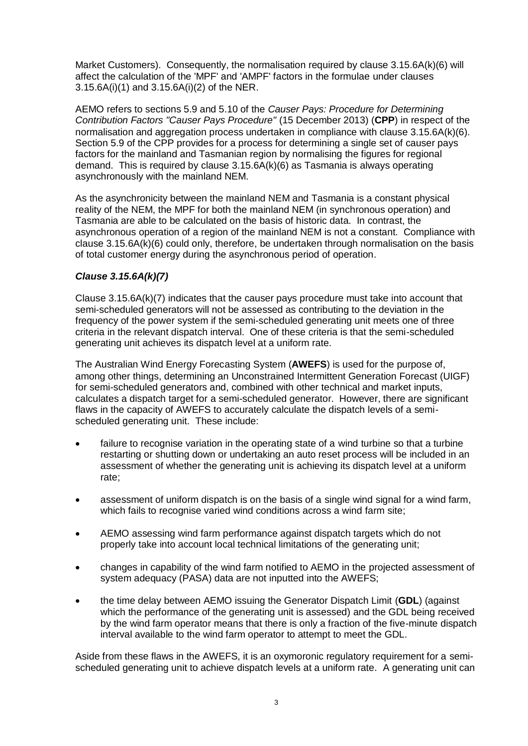Market Customers). Consequently, the normalisation required by clause 3.15.6A(k)(6) will affect the calculation of the 'MPF' and 'AMPF' factors in the formulae under clauses 3.15.6A(i)(1) and 3.15.6A(i)(2) of the NER.

AEMO refers to sections 5.9 and 5.10 of the *Causer Pays: Procedure for Determining Contribution Factors "Causer Pays Procedure"* (15 December 2013) (**CPP**) in respect of the normalisation and aggregation process undertaken in compliance with clause 3.15.6A(k)(6). Section 5.9 of the CPP provides for a process for determining a single set of causer pays factors for the mainland and Tasmanian region by normalising the figures for regional demand. This is required by clause 3.15.6A(k)(6) as Tasmania is always operating asynchronously with the mainland NEM.

As the asynchronicity between the mainland NEM and Tasmania is a constant physical reality of the NEM, the MPF for both the mainland NEM (in synchronous operation) and Tasmania are able to be calculated on the basis of historic data. In contrast, the asynchronous operation of a region of the mainland NEM is not a constant. Compliance with clause 3.15.6A(k)(6) could only, therefore, be undertaken through normalisation on the basis of total customer energy during the asynchronous period of operation.

# *Clause 3.15.6A(k)(7)*

Clause 3.15.6A(k)(7) indicates that the causer pays procedure must take into account that semi-scheduled generators will not be assessed as contributing to the deviation in the frequency of the power system if the semi-scheduled generating unit meets one of three criteria in the relevant dispatch interval. One of these criteria is that the semi-scheduled generating unit achieves its dispatch level at a uniform rate.

The Australian Wind Energy Forecasting System (**AWEFS**) is used for the purpose of, among other things, determining an Unconstrained Intermittent Generation Forecast (UIGF) for semi-scheduled generators and, combined with other technical and market inputs, calculates a dispatch target for a semi-scheduled generator. However, there are significant flaws in the capacity of AWEFS to accurately calculate the dispatch levels of a semischeduled generating unit. These include:

- failure to recognise variation in the operating state of a wind turbine so that a turbine restarting or shutting down or undertaking an auto reset process will be included in an assessment of whether the generating unit is achieving its dispatch level at a uniform rate;
- assessment of uniform dispatch is on the basis of a single wind signal for a wind farm, which fails to recognise varied wind conditions across a wind farm site;
- AEMO assessing wind farm performance against dispatch targets which do not properly take into account local technical limitations of the generating unit;
- changes in capability of the wind farm notified to AEMO in the projected assessment of system adequacy (PASA) data are not inputted into the AWEFS;
- the time delay between AEMO issuing the Generator Dispatch Limit (**GDL**) (against which the performance of the generating unit is assessed) and the GDL being received by the wind farm operator means that there is only a fraction of the five-minute dispatch interval available to the wind farm operator to attempt to meet the GDL.

Aside from these flaws in the AWEFS, it is an oxymoronic regulatory requirement for a semischeduled generating unit to achieve dispatch levels at a uniform rate. A generating unit can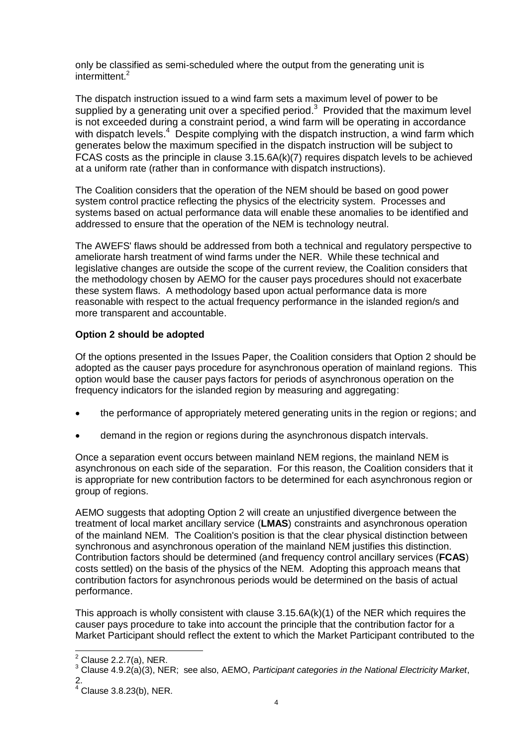only be classified as semi-scheduled where the output from the generating unit is intermittent.<sup>2</sup>

The dispatch instruction issued to a wind farm sets a maximum level of power to be supplied by a generating unit over a specified period. $3$  Provided that the maximum level is not exceeded during a constraint period, a wind farm will be operating in accordance with dispatch levels.<sup>4</sup> Despite complying with the dispatch instruction, a wind farm which generates below the maximum specified in the dispatch instruction will be subject to FCAS costs as the principle in clause 3.15.6A(k)(7) requires dispatch levels to be achieved at a uniform rate (rather than in conformance with dispatch instructions).

The Coalition considers that the operation of the NEM should be based on good power system control practice reflecting the physics of the electricity system. Processes and systems based on actual performance data will enable these anomalies to be identified and addressed to ensure that the operation of the NEM is technology neutral.

The AWEFS' flaws should be addressed from both a technical and regulatory perspective to ameliorate harsh treatment of wind farms under the NER. While these technical and legislative changes are outside the scope of the current review, the Coalition considers that the methodology chosen by AEMO for the causer pays procedures should not exacerbate these system flaws. A methodology based upon actual performance data is more reasonable with respect to the actual frequency performance in the islanded region/s and more transparent and accountable.

## **Option 2 should be adopted**

Of the options presented in the Issues Paper, the Coalition considers that Option 2 should be adopted as the causer pays procedure for asynchronous operation of mainland regions. This option would base the causer pays factors for periods of asynchronous operation on the frequency indicators for the islanded region by measuring and aggregating:

- the performance of appropriately metered generating units in the region or regions; and
- demand in the region or regions during the asynchronous dispatch intervals.

Once a separation event occurs between mainland NEM regions, the mainland NEM is asynchronous on each side of the separation. For this reason, the Coalition considers that it is appropriate for new contribution factors to be determined for each asynchronous region or group of regions.

AEMO suggests that adopting Option 2 will create an unjustified divergence between the treatment of local market ancillary service (**LMAS**) constraints and asynchronous operation of the mainland NEM. The Coalition's position is that the clear physical distinction between synchronous and asynchronous operation of the mainland NEM justifies this distinction. Contribution factors should be determined (and frequency control ancillary services (**FCAS**) costs settled) on the basis of the physics of the NEM. Adopting this approach means that contribution factors for asynchronous periods would be determined on the basis of actual performance.

This approach is wholly consistent with clause 3.15.6A(k)(1) of the NER which requires the causer pays procedure to take into account the principle that the contribution factor for a Market Participant should reflect the extent to which the Market Participant contributed to the

 $\overline{a}$  $2$  Clause 2.2.7(a), NER.

<sup>3</sup> Clause 4.9.2(a)(3), NER; see also, AEMO, *Participant categories in the National Electricity Market*, 2.

 $4$  Clause 3.8.23(b), NER.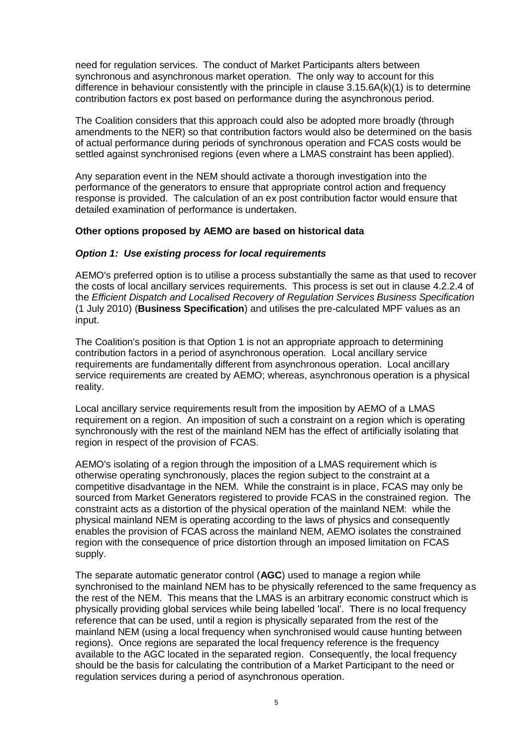need for regulation services. The conduct of Market Participants alters between synchronous and asynchronous market operation. The only way to account for this difference in behaviour consistently with the principle in clause 3.15.6A(k)(1) is to determine contribution factors ex post based on performance during the asynchronous period.

The Coalition considers that this approach could also be adopted more broadly (through amendments to the NER) so that contribution factors would also be determined on the basis of actual performance during periods of synchronous operation and FCAS costs would be settled against synchronised regions (even where a LMAS constraint has been applied).

Any separation event in the NEM should activate a thorough investigation into the performance of the generators to ensure that appropriate control action and frequency response is provided. The calculation of an ex post contribution factor would ensure that detailed examination of performance is undertaken.

### **Other options proposed by AEMO are based on historical data**

### *Option 1: Use existing process for local requirements*

AEMO's preferred option is to utilise a process substantially the same as that used to recover the costs of local ancillary services requirements. This process is set out in clause 4.2.2.4 of the *Efficient Dispatch and Localised Recovery of Regulation Services Business Specification*  (1 July 2010) (**Business Specification**) and utilises the pre-calculated MPF values as an input.

The Coalition's position is that Option 1 is not an appropriate approach to determining contribution factors in a period of asynchronous operation. Local ancillary service requirements are fundamentally different from asynchronous operation. Local ancillary service requirements are created by AEMO; whereas, asynchronous operation is a physical reality.

Local ancillary service requirements result from the imposition by AEMO of a LMAS requirement on a region. An imposition of such a constraint on a region which is operating synchronously with the rest of the mainland NEM has the effect of artificially isolating that region in respect of the provision of FCAS.

AEMO's isolating of a region through the imposition of a LMAS requirement which is otherwise operating synchronously, places the region subject to the constraint at a competitive disadvantage in the NEM. While the constraint is in place, FCAS may only be sourced from Market Generators registered to provide FCAS in the constrained region. The constraint acts as a distortion of the physical operation of the mainland NEM: while the physical mainland NEM is operating according to the laws of physics and consequently enables the provision of FCAS across the mainland NEM, AEMO isolates the constrained region with the consequence of price distortion through an imposed limitation on FCAS supply.

The separate automatic generator control (**AGC**) used to manage a region while synchronised to the mainland NEM has to be physically referenced to the same frequency as the rest of the NEM. This means that the LMAS is an arbitrary economic construct which is physically providing global services while being labelled 'local'. There is no local frequency reference that can be used, until a region is physically separated from the rest of the mainland NEM (using a local frequency when synchronised would cause hunting between regions). Once regions are separated the local frequency reference is the frequency available to the AGC located in the separated region. Consequently, the local frequency should be the basis for calculating the contribution of a Market Participant to the need or regulation services during a period of asynchronous operation.